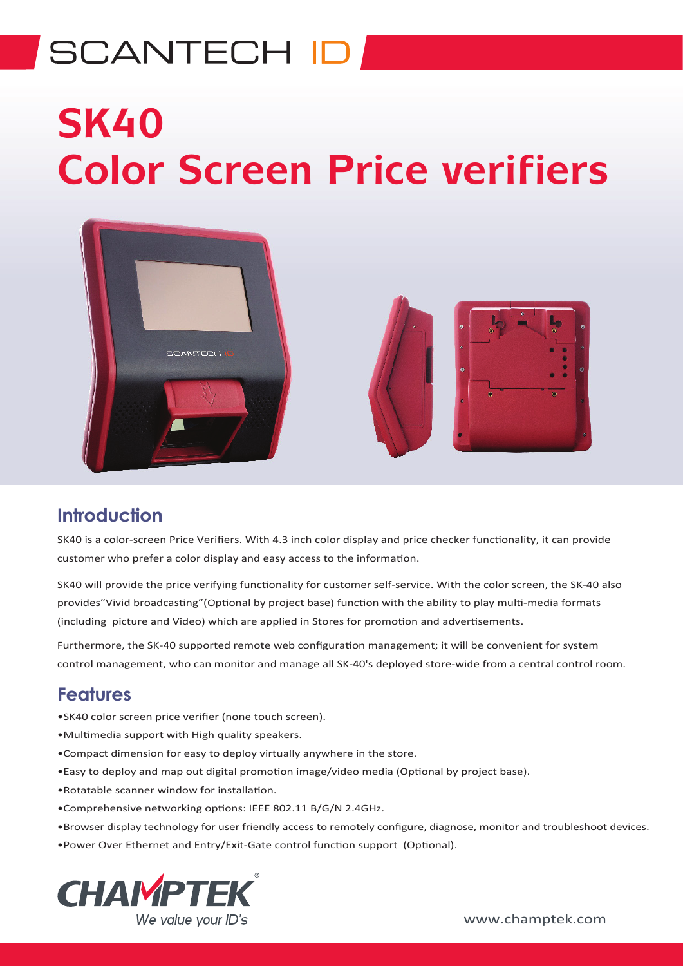## **SCANTECH ID**

# **SK40 Color Screen Price verifiers**



#### **Introduction**

SK40 is a color-screen Price Verifiers. With 4.3 inch color display and price checker functionality, it can provide customer who prefer a color display and easy access to the information.

SK40 will provide the price verifying functionality for customer self-service. With the color screen, the SK-40 also provides"Vivid broadcasting"(Optional by project base) function with the ability to play multi-media formats (including picture and Video) which are applied in Stores for promotion and advertisements.

Furthermore, the SK-40 supported remote web configuration management; it will be convenient for system control management, who can monitor and manage all SK-40's deployed store-wide from a central control room.

#### **Features**

- •SK40 color screen price verifier (none touch screen).
- •Multimedia support with High quality speakers.
- •Compact dimension for easy to deploy virtually anywhere in the store.
- •Easy to deploy and map out digital promotion image/video media (Optional by project base).
- •Rotatable scanner window for installation.
- •Comprehensive networking options: IEEE 802.11 B/G/N 2.4GHz.
- •Browser display technology for user friendly access to remotely configure, diagnose, monitor and troubleshoot devices.
- •Power Over Ethernet and Entry/Exit-Gate control function support (Optional).